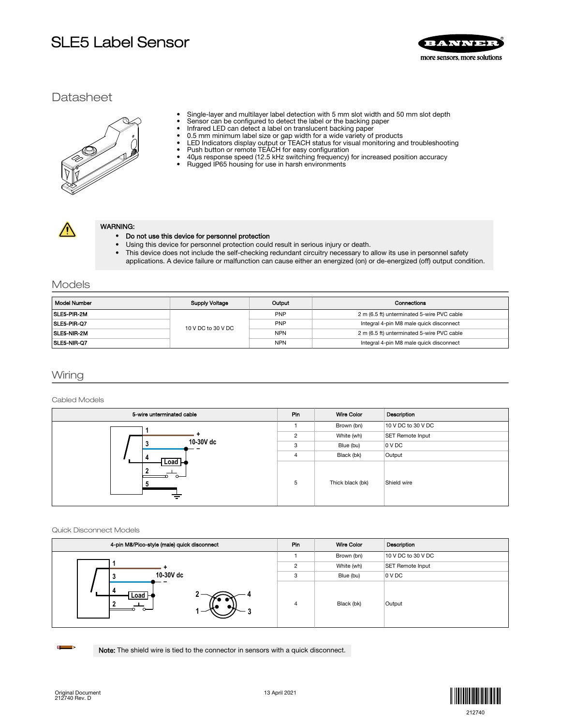# SLE5 Label Sensor



## **Datasheet**

- Single-layer and multilayer label detection with 5 mm slot width and 50 mm slot depth<br>• Sensor can be configured to detect the label or the backing paper
- Sensor can be configured to detect the label or the backing paper<br>• Infrared LED can detect a label on translucent backing paper
- Infrared LED can detect a label on translucent backing paper<br>• 0.5 mm minimum label size or gap width for a wide variety of
- 
- 0.5 mm minimum label size or gap width for a wide variety of products LED Indicators display output or TEACH status for visual monitoring and troubleshooting
- Push button or remote TEACH for easy configuration 40µs response speed (12.5 kHz switching frequency) for increased position accuracy
- Rugged IP65 housing for use in harsh environments



#### WARNING:

#### • Do not use this device for personnel protection

- Using this device for personnel protection could result in serious injury or death.
- This device does not include the self-checking redundant circuitry necessary to allow its use in personnel safety applications. A device failure or malfunction can cause either an energized (on) or de-energized (off) output condition.

## Models

| Model Number | <b>Supply Voltage</b> | Output     | Connections                                |
|--------------|-----------------------|------------|--------------------------------------------|
| SLE5-PIR-2M  |                       | <b>PNP</b> | 2 m (6.5 ft) unterminated 5-wire PVC cable |
| SLE5-PIR-Q7  | 10 V DC to 30 V DC    | <b>PNP</b> | Integral 4-pin M8 male quick disconnect    |
| SLE5-NIR-2M  |                       | <b>NPN</b> | 2 m (6.5 ft) unterminated 5-wire PVC cable |
| SLE5-NIR-Q7  |                       | <b>NPN</b> | Integral 4-pin M8 male quick disconnect    |

## Wiring

#### Cabled Models

| 5-wire unterminated cable  |                | <b>Wire Color</b> | Description        |
|----------------------------|----------------|-------------------|--------------------|
|                            |                | Brown (bn)        | 10 V DC to 30 V DC |
|                            | $\overline{2}$ | White (wh)        | SET Remote Input   |
| 10-30V dc<br>-a            | 3              | Blue (bu)         | 0 V DC             |
|                            | $\overline{4}$ | Black (bk)        | Output             |
| Load<br>$\sim$<br>$\equiv$ | 5              | Thick black (bk)  | Shield wire        |

#### Quick Disconnect Models

| 4-pin M8/Pico-style (male) quick disconnect |         | Wire Color | Description        |
|---------------------------------------------|---------|------------|--------------------|
|                                             |         | Brown (bn) | 10 V DC to 30 V DC |
|                                             | $\circ$ | White (wh) | SET Remote Input   |
| 10-30V dc                                   | 3       | Blue (bu)  | 0 V DC             |
| Load H                                      | 4       | Black (bk) | Output             |

Note: The shield wire is tied to the connector in sensors with a quick disconnect.



 $\blacksquare$  $\Rightarrow$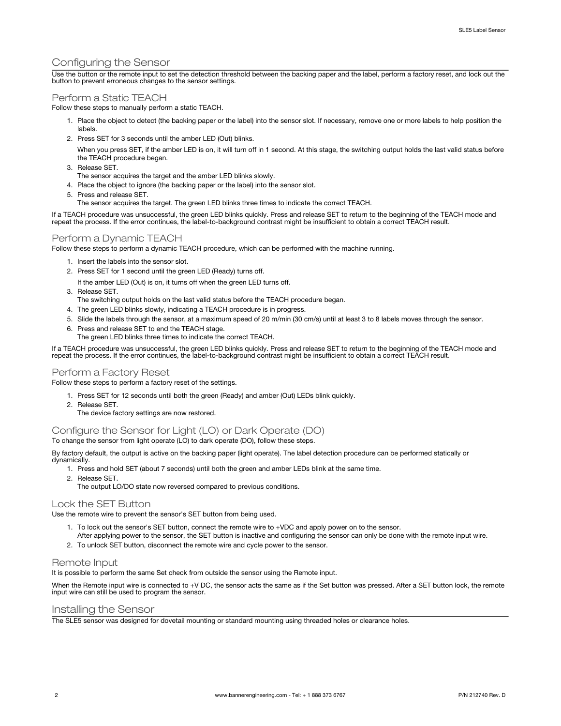## Configuring the Sensor

Use the button or the remote input to set the detection threshold between the backing paper and the label, perform a factory reset, and lock out the button to prevent erroneous changes to the sensor settings.

## Perform a Static TEACH

Follow these steps to manually perform a static TEACH.

- 1. Place the object to detect (the backing paper or the label) into the sensor slot. If necessary, remove one or more labels to help position the labels.
- 2. Press SET for 3 seconds until the amber LED (Out) blinks.
	- When you press SET, if the amber LED is on, it will turn off in 1 second. At this stage, the switching output holds the last valid status before the TEACH procedure began.
- 3. Release SET.
- The sensor acquires the target and the amber LED blinks slowly.
- 4. Place the object to ignore (the backing paper or the label) into the sensor slot.
- 5. Press and release SET.
	- The sensor acquires the target. The green LED blinks three times to indicate the correct TEACH.

If a TEACH procedure was unsuccessful, the green LED blinks quickly. Press and release SET to return to the beginning of the TEACH mode and repeat the process. If the error continues, the label-to-background contrast might be insufficient to obtain a correct TEACH result.

## Perform a Dynamic TEACH

Follow these steps to perform a dynamic TEACH procedure, which can be performed with the machine running.

- 1. Insert the labels into the sensor slot.
- 2. Press SET for 1 second until the green LED (Ready) turns off.
- If the amber LED (Out) is on, it turns off when the green LED turns off.
- 3. Release SET.
- The switching output holds on the last valid status before the TEACH procedure began.
- 4. The green LED blinks slowly, indicating a TEACH procedure is in progress.
- 5. Slide the labels through the sensor, at a maximum speed of 20 m/min (30 cm/s) until at least 3 to 8 labels moves through the sensor.
- 6. Press and release SET to end the TEACH stage.
	- The green LED blinks three times to indicate the correct TEACH.

If a TEACH procedure was unsuccessful, the green LED blinks quickly. Press and release SET to return to the beginning of the TEACH mode and repeat the process. If the error continues, the label-to-background contrast might be insufficient to obtain a correct TEACH result.

#### Perform a Factory Reset

Follow these steps to perform a factory reset of the settings.

- 1. Press SET for 12 seconds until both the green (Ready) and amber (Out) LEDs blink quickly.
- 2. Release SET.
	- The device factory settings are now restored.

## Configure the Sensor for Light (LO) or Dark Operate (DO)

To change the sensor from light operate (LO) to dark operate (DO), follow these steps.

By factory default, the output is active on the backing paper (light operate). The label detection procedure can be performed statically or dynamically.

- 1. Press and hold SET (about 7 seconds) until both the green and amber LEDs blink at the same time.
- 2. Release SET.
	- The output LO/DO state now reversed compared to previous conditions.

### Lock the SET Button

Use the remote wire to prevent the sensor's SET button from being used.

- 1. To lock out the sensor's SET button, connect the remote wire to +VDC and apply power on to the sensor.
- After applying power to the sensor, the SET button is inactive and configuring the sensor can only be done with the remote input wire. 2. To unlock SET button, disconnect the remote wire and cycle power to the sensor.
- 

#### Remote Input

It is possible to perform the same Set check from outside the sensor using the Remote input.

When the Remote input wire is connected to +V DC, the sensor acts the same as if the Set button was pressed. After a SET button lock, the remote input wire can still be used to program the sensor.

#### Installing the Sensor

The SLE5 sensor was designed for dovetail mounting or standard mounting using threaded holes or clearance holes.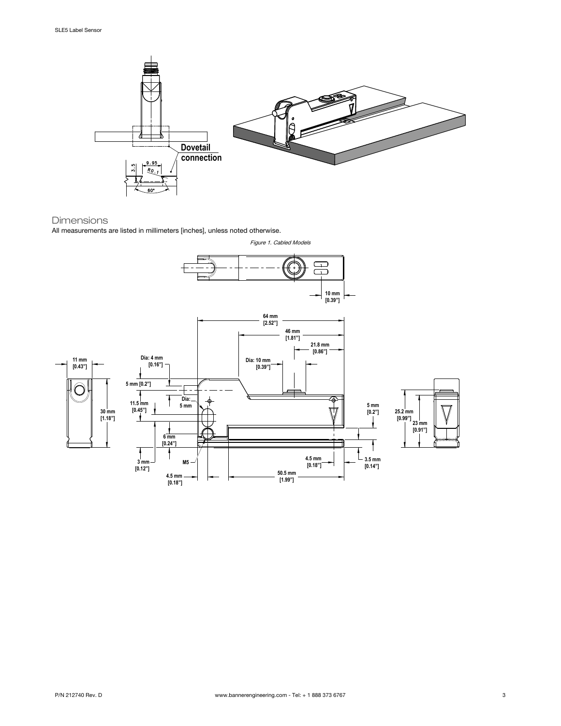

### Dimensions

All measurements are listed in millimeters [inches], unless noted otherwise.

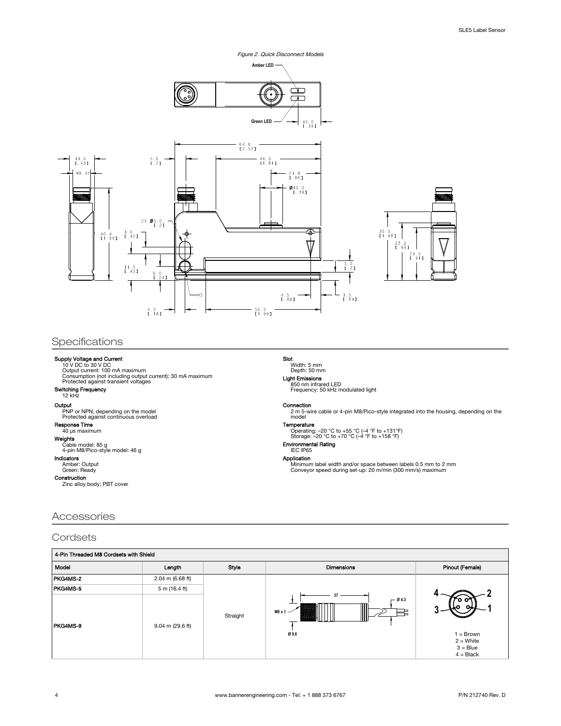Figure 2. Quick Disconnect Models



## Specifications

**Supply Voltage and Current<br>
10 V DC to 30 V DC<br>
Current: 100 mA maximum<br>
Consumption (not including output current): 30 mA maximum<br>
Protected against transient voltages** 

#### Switching Frequency 12 kHz

Output PNP or NPN, depending on the model Protected against continuous overload

## **Response Time**<br>40 µs maximum

## Weights

Cable model: 85 g 4-pin M8/Pico-style model: 46 g

**Indicators**<br>Amber: Output<br>Green: Ready

**Construction**<br>Zinc alloy body; PBT cover

### Accessories

### **Cordsets**

| 4-Pin Threaded M8 Cordsets with Shield |                            |          |                           |                                                       |  |  |
|----------------------------------------|----------------------------|----------|---------------------------|-------------------------------------------------------|--|--|
| Model                                  | Longth                     | Style    | <b>Dimensions</b>         | <b>Pinout (Female)</b>                                |  |  |
| PKG4MS-2                               | $2.04$ m (6.68 ft)         |          |                           |                                                       |  |  |
| PKG4MS-5                               | 5 m (16.4 ft)              |          |                           |                                                       |  |  |
| PKG4MS-9                               | $9.04 \text{ m}$ (29.6 ft) | Straight | $-04.3$<br>M8 x 1<br>Ø9.6 | $=$ Brown<br>$2 =$ White<br>$3 = Blue$<br>$4 = Black$ |  |  |

Light Emissions 850 nm infrared LED Frequency: 50 kHz modulated light

#### Connection

Slot

2 m 5-wire cable or 4-pin M8/Pico-style integrated into the housing, depending on the model

#### Temperature

Width: 5 mm Depth: 50 mm

Operating: –20 °C to +55 °C (–4 °F to +131°F) Storage: –20 °C to +70 °C (–4 °F to +158 °F)

## Environmental Rating IEC IP65

Application Minimum label width and/or space between labels 0.5 mm to 2 mm Conveyor speed during set-up: 20 m/min (300 mm/s) maximum